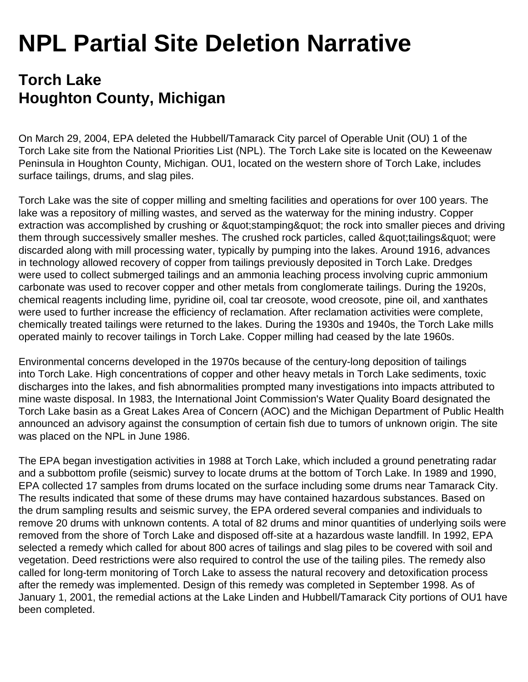## **NPL Partial Site Deletion Narrative**

## **Torch Lake Houghton County, Michigan**

On March 29, 2004, EPA deleted the Hubbell/Tamarack City parcel of Operable Unit (OU) 1 of the Torch Lake site from the National Priorities List (NPL). The Torch Lake site is located on the Keweenaw Peninsula in Houghton County, Michigan. OU1, located on the western shore of Torch Lake, includes surface tailings, drums, and slag piles.

Torch Lake was the site of copper milling and smelting facilities and operations for over 100 years. The lake was a repository of milling wastes, and served as the waterway for the mining industry. Copper extraction was accomplished by crushing or " stamping " the rock into smaller pieces and driving them through successively smaller meshes. The crushed rock particles, called & quot; tailings & quot; were discarded along with mill processing water, typically by pumping into the lakes. Around 1916, advances in technology allowed recovery of copper from tailings previously deposited in Torch Lake. Dredges were used to collect submerged tailings and an ammonia leaching process involving cupric ammonium carbonate was used to recover copper and other metals from conglomerate tailings. During the 1920s, chemical reagents including lime, pyridine oil, coal tar creosote, wood creosote, pine oil, and xanthates were used to further increase the efficiency of reclamation. After reclamation activities were complete, chemically treated tailings were returned to the lakes. During the 1930s and 1940s, the Torch Lake mills operated mainly to recover tailings in Torch Lake. Copper milling had ceased by the late 1960s.

Environmental concerns developed in the 1970s because of the century-long deposition of tailings into Torch Lake. High concentrations of copper and other heavy metals in Torch Lake sediments, toxic discharges into the lakes, and fish abnormalities prompted many investigations into impacts attributed to mine waste disposal. In 1983, the International Joint Commission's Water Quality Board designated the Torch Lake basin as a Great Lakes Area of Concern (AOC) and the Michigan Department of Public Health announced an advisory against the consumption of certain fish due to tumors of unknown origin. The site was placed on the NPL in June 1986.

The EPA began investigation activities in 1988 at Torch Lake, which included a ground penetrating radar and a subbottom profile (seismic) survey to locate drums at the bottom of Torch Lake. In 1989 and 1990, EPA collected 17 samples from drums located on the surface including some drums near Tamarack City. The results indicated that some of these drums may have contained hazardous substances. Based on the drum sampling results and seismic survey, the EPA ordered several companies and individuals to remove 20 drums with unknown contents. A total of 82 drums and minor quantities of underlying soils were removed from the shore of Torch Lake and disposed off-site at a hazardous waste landfill. In 1992, EPA selected a remedy which called for about 800 acres of tailings and slag piles to be covered with soil and vegetation. Deed restrictions were also required to control the use of the tailing piles. The remedy also called for long-term monitoring of Torch Lake to assess the natural recovery and detoxification process after the remedy was implemented. Design of this remedy was completed in September 1998. As of January 1, 2001, the remedial actions at the Lake Linden and Hubbell/Tamarack City portions of OU1 have been completed.